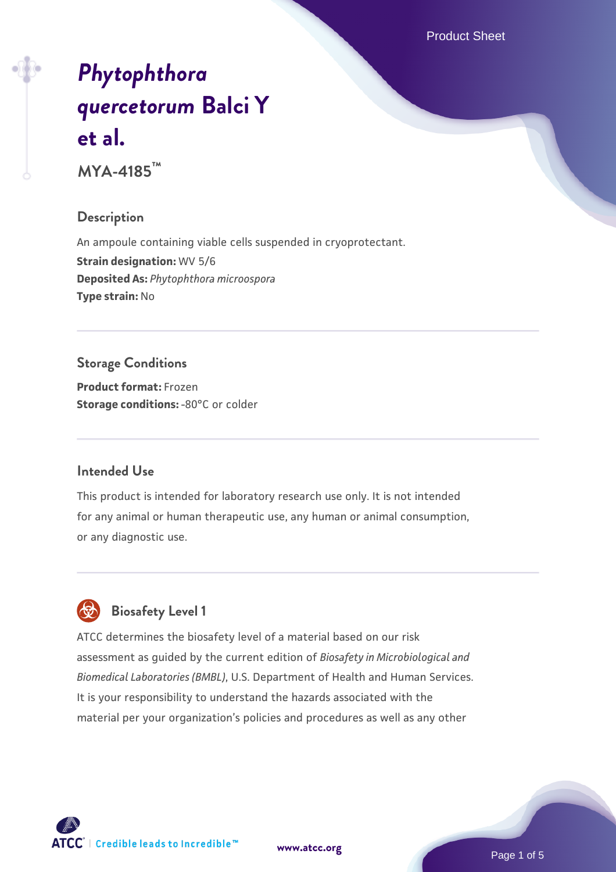Product Sheet

# *[Phytophthora](https://www.atcc.org/products/mya-4185) [quercetorum](https://www.atcc.org/products/mya-4185)* **[Balci Y](https://www.atcc.org/products/mya-4185) [et al.](https://www.atcc.org/products/mya-4185)**

**MYA-4185™**

#### **Description**

An ampoule containing viable cells suspended in cryoprotectant. **Strain designation:** WV 5/6 **Deposited As:** *Phytophthora microospora* **Type strain:** No

# **Storage Conditions**

**Product format:** Frozen **Storage conditions: -80°C** or colder

#### **Intended Use**

This product is intended for laboratory research use only. It is not intended for any animal or human therapeutic use, any human or animal consumption, or any diagnostic use.



# **Biosafety Level 1**

ATCC determines the biosafety level of a material based on our risk assessment as guided by the current edition of *Biosafety in Microbiological and Biomedical Laboratories (BMBL)*, U.S. Department of Health and Human Services. It is your responsibility to understand the hazards associated with the material per your organization's policies and procedures as well as any other

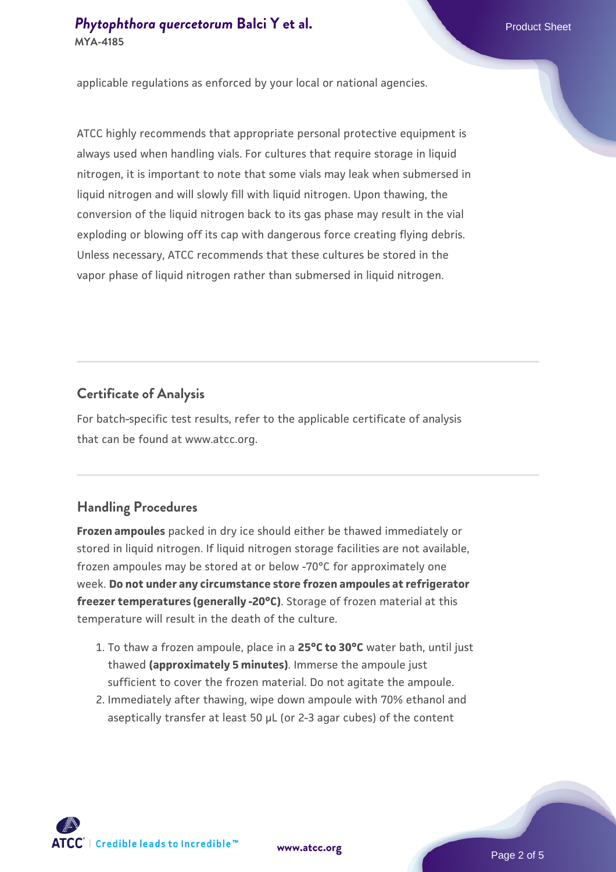# **[Phytophthora quercetorum](https://www.atcc.org/products/mya-4185) [Balci Y et al.](https://www.atcc.org/products/mya-4185)** Phytophthora quercetorum Balci Y et al. **MYA-4185**

applicable regulations as enforced by your local or national agencies.

ATCC highly recommends that appropriate personal protective equipment is always used when handling vials. For cultures that require storage in liquid nitrogen, it is important to note that some vials may leak when submersed in liquid nitrogen and will slowly fill with liquid nitrogen. Upon thawing, the conversion of the liquid nitrogen back to its gas phase may result in the vial exploding or blowing off its cap with dangerous force creating flying debris. Unless necessary, ATCC recommends that these cultures be stored in the vapor phase of liquid nitrogen rather than submersed in liquid nitrogen.

#### **Certificate of Analysis**

For batch-specific test results, refer to the applicable certificate of analysis that can be found at www.atcc.org.

# **Handling Procedures**

**Frozen ampoules** packed in dry ice should either be thawed immediately or stored in liquid nitrogen. If liquid nitrogen storage facilities are not available, frozen ampoules may be stored at or below -70°C for approximately one week. **Do not under any circumstance store frozen ampoules at refrigerator freezer temperatures (generally -20°C)**. Storage of frozen material at this temperature will result in the death of the culture.

- 1. To thaw a frozen ampoule, place in a **25°C to 30°C** water bath, until just thawed **(approximately 5 minutes)**. Immerse the ampoule just sufficient to cover the frozen material. Do not agitate the ampoule.
- 2. Immediately after thawing, wipe down ampoule with 70% ethanol and aseptically transfer at least 50 µL (or 2-3 agar cubes) of the content

 $\mathsf{ATCC}^*$   $\vdash$  Credible leads to Incredible  $\mathbb {m}$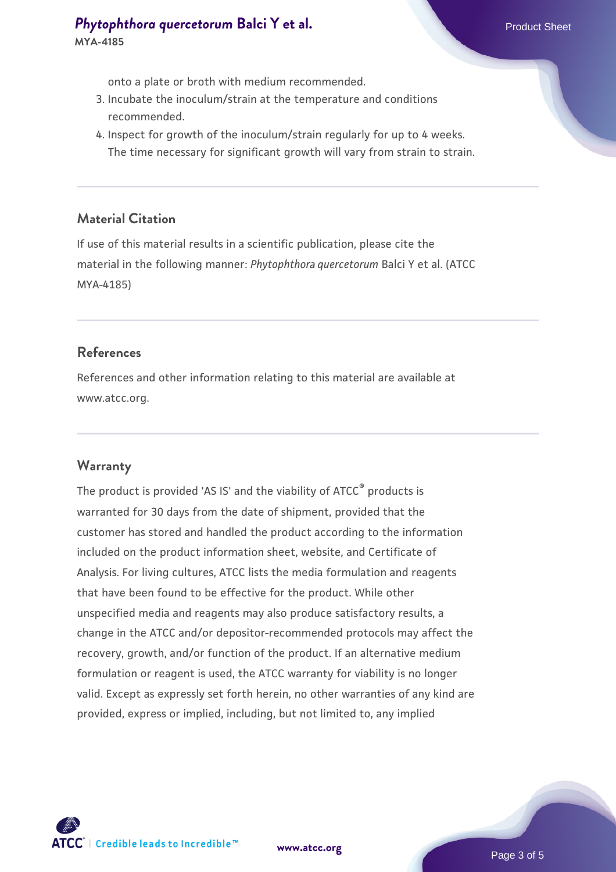onto a plate or broth with medium recommended.

- 3. Incubate the inoculum/strain at the temperature and conditions recommended.
- 4. Inspect for growth of the inoculum/strain regularly for up to 4 weeks. The time necessary for significant growth will vary from strain to strain.

#### **Material Citation**

If use of this material results in a scientific publication, please cite the material in the following manner: *Phytophthora quercetorum* Balci Y et al. (ATCC MYA-4185)

#### **References**

References and other information relating to this material are available at www.atcc.org.

# **Warranty**

The product is provided 'AS IS' and the viability of ATCC<sup>®</sup> products is warranted for 30 days from the date of shipment, provided that the customer has stored and handled the product according to the information included on the product information sheet, website, and Certificate of Analysis. For living cultures, ATCC lists the media formulation and reagents that have been found to be effective for the product. While other unspecified media and reagents may also produce satisfactory results, a change in the ATCC and/or depositor-recommended protocols may affect the recovery, growth, and/or function of the product. If an alternative medium formulation or reagent is used, the ATCC warranty for viability is no longer valid. Except as expressly set forth herein, no other warranties of any kind are provided, express or implied, including, but not limited to, any implied

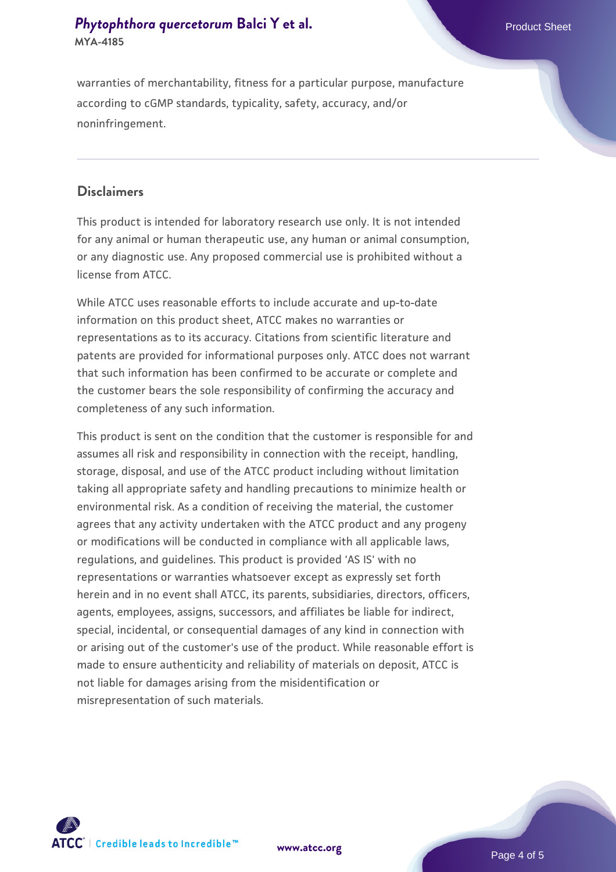# **[Phytophthora quercetorum](https://www.atcc.org/products/mya-4185) [Balci Y et al.](https://www.atcc.org/products/mya-4185)** Phytophthora quercetorum Balci Y et al. **MYA-4185**

warranties of merchantability, fitness for a particular purpose, manufacture according to cGMP standards, typicality, safety, accuracy, and/or noninfringement.

#### **Disclaimers**

This product is intended for laboratory research use only. It is not intended for any animal or human therapeutic use, any human or animal consumption, or any diagnostic use. Any proposed commercial use is prohibited without a license from ATCC.

While ATCC uses reasonable efforts to include accurate and up-to-date information on this product sheet, ATCC makes no warranties or representations as to its accuracy. Citations from scientific literature and patents are provided for informational purposes only. ATCC does not warrant that such information has been confirmed to be accurate or complete and the customer bears the sole responsibility of confirming the accuracy and completeness of any such information.

This product is sent on the condition that the customer is responsible for and assumes all risk and responsibility in connection with the receipt, handling, storage, disposal, and use of the ATCC product including without limitation taking all appropriate safety and handling precautions to minimize health or environmental risk. As a condition of receiving the material, the customer agrees that any activity undertaken with the ATCC product and any progeny or modifications will be conducted in compliance with all applicable laws, regulations, and guidelines. This product is provided 'AS IS' with no representations or warranties whatsoever except as expressly set forth herein and in no event shall ATCC, its parents, subsidiaries, directors, officers, agents, employees, assigns, successors, and affiliates be liable for indirect, special, incidental, or consequential damages of any kind in connection with or arising out of the customer's use of the product. While reasonable effort is made to ensure authenticity and reliability of materials on deposit, ATCC is not liable for damages arising from the misidentification or misrepresentation of such materials.



**[www.atcc.org](http://www.atcc.org)**

Page 4 of 5